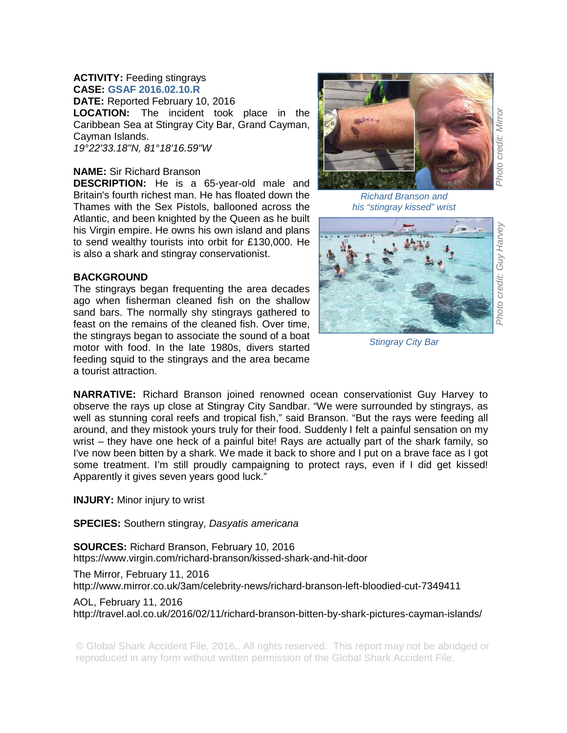## **ACTIVITY:** Feeding stingrays **CASE: GSAF 2016.02.10.R**

**DATE:** Reported February 10, 2016 **LOCATION:** The incident took place in the Caribbean Sea at Stingray City Bar, Grand Cayman, Cayman Islands. *19°22'33.18"N, 81°18'16.59"W* 

## **NAME:** Sir Richard Branson

**DESCRIPTION:** He is a 65-year-old male and Britain's fourth richest man. He has floated down the Thames with the Sex Pistols, ballooned across the Atlantic, and been knighted by the Queen as he built his Virgin empire. He owns his own island and plans to send wealthy tourists into orbit for £130,000. He is also a shark and stingray conservationist.

## **BACKGROUND**

The stingrays began frequenting the area decades ago when fisherman cleaned fish on the shallow sand bars. The normally shy stingrays gathered to feast on the remains of the cleaned fish. Over time, the stingrays began to associate the sound of a boat motor with food. In the late 1980s, divers started feeding squid to the stingrays and the area became a tourist attraction.



*Richard Branson and his "stingray kissed" wrist* 



*Photo credit: Mirror Photo credit: Guy Harvey*  Photo credit: Guy Harvey

*Stingray City Bar* 

**NARRATIVE:** Richard Branson joined renowned ocean conservationist Guy Harvey to observe the rays up close at Stingray City Sandbar. "We were surrounded by stingrays, as well as stunning coral reefs and tropical fish," said Branson. "But the rays were feeding all around, and they mistook yours truly for their food. Suddenly I felt a painful sensation on my wrist – they have one heck of a painful bite! Rays are actually part of the shark family, so I've now been bitten by a shark. We made it back to shore and I put on a brave face as I got some treatment. I'm still proudly campaigning to protect rays, even if I did get kissed! Apparently it gives seven years good luck."

**INJURY:** Minor injury to wrist

**SPECIES:** Southern stingray, *Dasyatis americana* 

**SOURCES:** Richard Branson, February 10, 2016 https://www.virgin.com/richard-branson/kissed-shark-and-hit-door

The Mirror, February 11, 2016

http://www.mirror.co.uk/3am/celebrity-news/richard-branson-left-bloodied-cut-7349411

AOL, February 11, 2016

http://travel.aol.co.uk/2016/02/11/richard-branson-bitten-by-shark-pictures-cayman-islands/

© Global Shark Accident File, 2016,. All rights reserved. This report may not be abridged or reproduced in any form without written permission of the Global Shark Accident File.